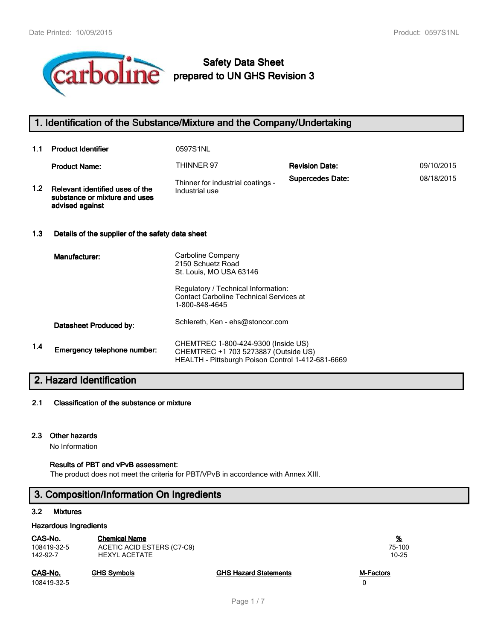

# **Safety Data Sheet**

# **1. Identification of the Substance/Mixture and the Company/Undertaking**

| 1.1              | <b>Product Identifier</b>                                                           | 0597S1NL                                                                                                                         |                         |            |
|------------------|-------------------------------------------------------------------------------------|----------------------------------------------------------------------------------------------------------------------------------|-------------------------|------------|
|                  | <b>Product Name:</b>                                                                | THINNER 97                                                                                                                       | <b>Revision Date:</b>   | 09/10/2015 |
| 1.2 <sub>2</sub> | Relevant identified uses of the<br>substance or mixture and uses<br>advised against | Thinner for industrial coatings -<br>Industrial use                                                                              | <b>Supercedes Date:</b> | 08/18/2015 |
| 1.3              | Details of the supplier of the safety data sheet                                    |                                                                                                                                  |                         |            |
|                  | Manufacturer:                                                                       | Carboline Company<br>2150 Schuetz Road<br>St. Louis, MO USA 63146                                                                |                         |            |
|                  |                                                                                     | Regulatory / Technical Information:<br><b>Contact Carboline Technical Services at</b><br>1-800-848-4645                          |                         |            |
|                  | Datasheet Produced by:                                                              | Schlereth, Ken - ehs@stoncor.com                                                                                                 |                         |            |
| 1.4              | Emergency telephone number:                                                         | CHEMTREC 1-800-424-9300 (Inside US)<br>CHEMTREC +1 703 5273887 (Outside US)<br>HEALTH - Pittsburgh Poison Control 1-412-681-6669 |                         |            |

# **2. Hazard Identification**

#### **2.1 Classification of the substance or mixture**

#### **2.3 Other hazards**

No Information

## **Results of PBT and vPvB assessment:**

The product does not meet the criteria for PBT/VPvB in accordance with Annex XIII.

# **3. Composition/Information On Ingredients**

## **3.2 Mixtures**

#### **Hazardous Ingredients**

| CAS-No.     | <b>Chemical Name</b>       |                              | <u>%</u>  |
|-------------|----------------------------|------------------------------|-----------|
| 108419-32-5 | ACETIC ACID ESTERS (C7-C9) |                              | 75-100    |
| 142-92-7    | <b>HEXYL ACETATE</b>       |                              | $10 - 25$ |
| CAS-No.     | <b>GHS Symbols</b>         | <b>GHS Hazard Statements</b> | M-Factors |

108419-32-5 0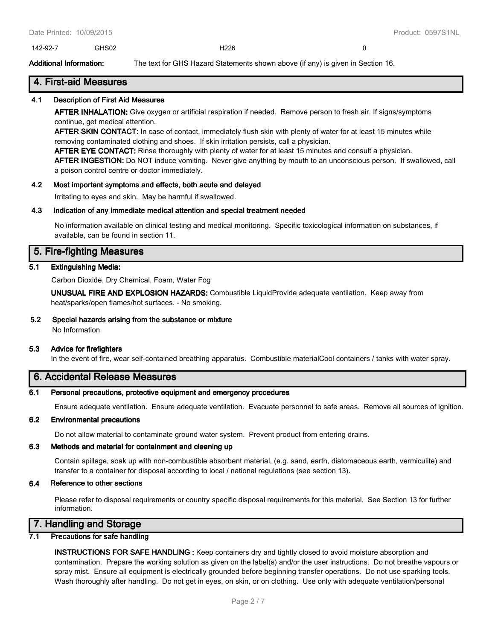142-92-7 GHS02 H226 0

**Additional Information:** The text for GHS Hazard Statements shown above (if any) is given in Section 16.

## **4. First-aid Measures**

#### **4.1 Description of First Aid Measures**

**AFTER INHALATION:** Give oxygen or artificial respiration if needed. Remove person to fresh air. If signs/symptoms continue, get medical attention.

**AFTER SKIN CONTACT:** In case of contact, immediately flush skin with plenty of water for at least 15 minutes while removing contaminated clothing and shoes. If skin irritation persists, call a physician.

**AFTER EYE CONTACT:** Rinse thoroughly with plenty of water for at least 15 minutes and consult a physician.

**AFTER INGESTION:** Do NOT induce vomiting. Never give anything by mouth to an unconscious person. If swallowed, call a poison control centre or doctor immediately.

#### **4.2 Most important symptoms and effects, both acute and delayed**

Irritating to eyes and skin. May be harmful if swallowed.

#### **4.3 Indication of any immediate medical attention and special treatment needed**

No information available on clinical testing and medical monitoring. Specific toxicological information on substances, if available, can be found in section 11.

## **5. Fire-fighting Measures**

#### **5.1 Extinguishing Media:**

Carbon Dioxide, Dry Chemical, Foam, Water Fog

**UNUSUAL FIRE AND EXPLOSION HAZARDS:** Combustible LiquidProvide adequate ventilation. Keep away from heat/sparks/open flames/hot surfaces. - No smoking.

#### **5.2 Special hazards arising from the substance or mixture**

No Information

#### **5.3 Advice for firefighters**

In the event of fire, wear self-contained breathing apparatus. Combustible materialCool containers / tanks with water spray.

# **6. Accidental Release Measures**

#### **6.1 Personal precautions, protective equipment and emergency procedures**

Ensure adequate ventilation. Ensure adequate ventilation. Evacuate personnel to safe areas. Remove all sources of ignition.

#### **6.2 Environmental precautions**

Do not allow material to contaminate ground water system. Prevent product from entering drains.

## **6.3 Methods and material for containment and cleaning up**

Contain spillage, soak up with non-combustible absorbent material, (e.g. sand, earth, diatomaceous earth, vermiculite) and transfer to a container for disposal according to local / national regulations (see section 13).

## **6.4 Reference to other sections**

Please refer to disposal requirements or country specific disposal requirements for this material. See Section 13 for further information.

# **7. Handling and Storage**

# **7.1 Precautions for safe handling**

**INSTRUCTIONS FOR SAFE HANDLING :** Keep containers dry and tightly closed to avoid moisture absorption and contamination. Prepare the working solution as given on the label(s) and/or the user instructions. Do not breathe vapours or spray mist. Ensure all equipment is electrically grounded before beginning transfer operations. Do not use sparking tools. Wash thoroughly after handling. Do not get in eyes, on skin, or on clothing. Use only with adequate ventilation/personal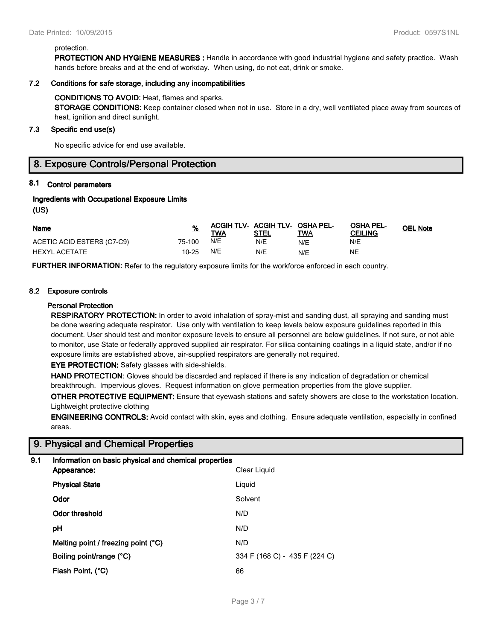#### protection.

**PROTECTION AND HYGIENE MEASURES :** Handle in accordance with good industrial hygiene and safety practice. Wash hands before breaks and at the end of workday. When using, do not eat, drink or smoke.

#### **7.2 Conditions for safe storage, including any incompatibilities**

#### **CONDITIONS TO AVOID:** Heat, flames and sparks.

**STORAGE CONDITIONS:** Keep container closed when not in use. Store in a dry, well ventilated place away from sources of heat, ignition and direct sunlight.

#### **7.3 Specific end use(s)**

No specific advice for end use available.

# **8. Exposure Controls/Personal Protection**

## **8.1 Control parameters**

#### **Ingredients with Occupational Exposure Limits**

**(US)**

| Name                       |        | <b>TWA</b> | ACGIH TLV- ACGIH TLV- OSHA PEL-<br><b>STEL</b> | TWA | <b>OSHA PEL-</b><br><b>CEILING</b> | <b>OEL Note</b> |
|----------------------------|--------|------------|------------------------------------------------|-----|------------------------------------|-----------------|
| ACETIC ACID ESTERS (C7-C9) | 75-100 | N/E        | N/E                                            | N/E | N/E                                |                 |
| HEXYL ACETATE              | 10-25  | N/E        | N/E                                            | N/E | NΕ                                 |                 |

**FURTHER INFORMATION:** Refer to the regulatory exposure limits for the workforce enforced in each country.

#### **8.2 Exposure controls**

#### **Personal Protection**

**RESPIRATORY PROTECTION:** In order to avoid inhalation of spray-mist and sanding dust, all spraying and sanding must be done wearing adequate respirator. Use only with ventilation to keep levels below exposure guidelines reported in this document. User should test and monitor exposure levels to ensure all personnel are below guidelines. If not sure, or not able to monitor, use State or federally approved supplied air respirator. For silica containing coatings in a liquid state, and/or if no exposure limits are established above, air-supplied respirators are generally not required.

**EYE PROTECTION:** Safety glasses with side-shields.

**HAND PROTECTION:** Gloves should be discarded and replaced if there is any indication of degradation or chemical breakthrough. Impervious gloves. Request information on glove permeation properties from the glove supplier.

**OTHER PROTECTIVE EQUIPMENT:** Ensure that eyewash stations and safety showers are close to the workstation location. Lightweight protective clothing

**ENGINEERING CONTROLS:** Avoid contact with skin, eyes and clothing. Ensure adequate ventilation, especially in confined areas.

# **9. Physical and Chemical Properties**

#### **9.1 Information on basic physical and chemical properties**

| Appearance:                         | Clear Liquid                  |
|-------------------------------------|-------------------------------|
| <b>Physical State</b>               | Liquid                        |
| Odor                                | Solvent                       |
| <b>Odor threshold</b>               | N/D                           |
| рH                                  | N/D                           |
| Melting point / freezing point (°C) | N/D                           |
| Boiling point/range (°C)            | 334 F (168 C) - 435 F (224 C) |
| Flash Point, (°C)                   | 66                            |
|                                     |                               |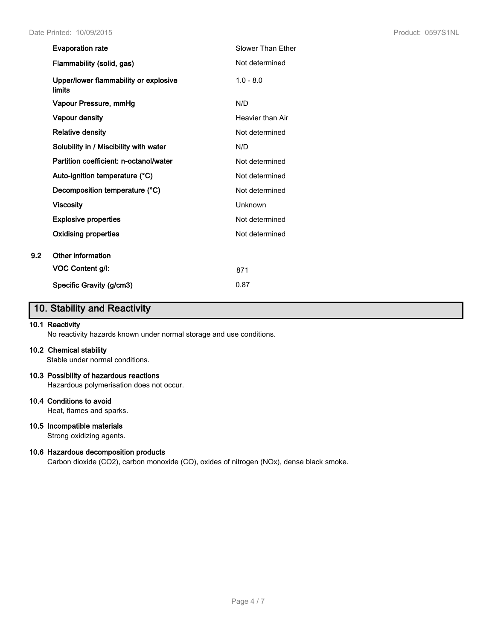|     | <b>Evaporation rate</b>                         | <b>Slower Than Ether</b> |
|-----|-------------------------------------------------|--------------------------|
|     | Flammability (solid, gas)                       | Not determined           |
|     | Upper/lower flammability or explosive<br>limits | $1.0 - 8.0$              |
|     | Vapour Pressure, mmHg                           | N/D                      |
|     | Vapour density                                  | Heavier than Air         |
|     | <b>Relative density</b>                         | Not determined           |
|     | Solubility in / Miscibility with water          | N/D                      |
|     | Partition coefficient: n-octanol/water          | Not determined           |
|     | Auto-ignition temperature (°C)                  | Not determined           |
|     | Decomposition temperature (°C)                  | Not determined           |
|     | <b>Viscosity</b>                                | Unknown                  |
|     | <b>Explosive properties</b>                     | Not determined           |
|     | Oxidising properties                            | Not determined           |
| 9.2 | Other information                               |                          |
|     | VOC Content g/l:                                | 871                      |
|     | Specific Gravity (g/cm3)                        | 0.87                     |

# **10. Stability and Reactivity**

## **10.1 Reactivity**

No reactivity hazards known under normal storage and use conditions.

#### **10.2 Chemical stability**

Stable under normal conditions.

#### **10.3 Possibility of hazardous reactions**

Hazardous polymerisation does not occur.

## **10.4 Conditions to avoid**

Heat, flames and sparks.

# **10.5 Incompatible materials**

Strong oxidizing agents.

#### **10.6 Hazardous decomposition products**

Carbon dioxide (CO2), carbon monoxide (CO), oxides of nitrogen (NOx), dense black smoke.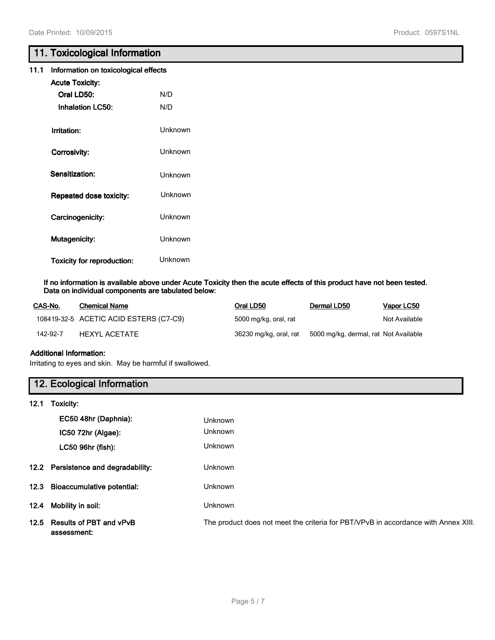# **11. Toxicological Information**

| 11.1 Information on toxicological effects |  |
|-------------------------------------------|--|
|-------------------------------------------|--|

| <b>Acute Toxicity:</b>            |         |
|-----------------------------------|---------|
| Oral LD50:                        | N/D     |
| <b>Inhalation LC50:</b>           | N/D     |
|                                   | Unknown |
| Irritation:                       |         |
| Corrosivity:                      | Unknown |
| Sensitization:                    | Unknown |
|                                   |         |
| <b>Repeated dose toxicity:</b>    | Unknown |
| Carcinogenicity:                  | Unknown |
| <b>Mutagenicity:</b>              | Unknown |
| <b>Toxicity for reproduction:</b> | Unknown |

#### **If no information is available above under Acute Toxicity then the acute effects of this product have not been tested. Data on individual components are tabulated below:**

| CAS-No.  | <b>Chemical Name</b>                   | Oral LD50              | Dermal LD50                           | Vapor LC50    |
|----------|----------------------------------------|------------------------|---------------------------------------|---------------|
|          | 108419-32-5 ACETIC ACID ESTERS (C7-C9) | 5000 mg/kg, oral, rat  |                                       | Not Available |
| 142-92-7 | HEXYL ACETATE                          | 36230 mg/kg, oral, rat | 5000 mg/kg, dermal, rat Not Available |               |

## **Additional Information:**

Irritating to eyes and skin. May be harmful if swallowed.

# **12. Ecological Information**

**12.1 Toxicity:**

|      | EC50 48hr (Daphnia):                        | <b>Unknown</b>                                                                     |
|------|---------------------------------------------|------------------------------------------------------------------------------------|
|      | IC50 72hr (Algae):                          | <b>Unknown</b>                                                                     |
|      | LC50 96hr (fish):                           | <b>Unknown</b>                                                                     |
|      | 12.2 Persistence and degradability:         | <b>Unknown</b>                                                                     |
|      | 12.3 Bioaccumulative potential:             | <b>Unknown</b>                                                                     |
| 12.4 | Mobility in soil:                           | Unknown                                                                            |
|      | 12.5 Results of PBT and vPvB<br>assessment: | The product does not meet the criteria for PBT/VPvB in accordance with Annex XIII. |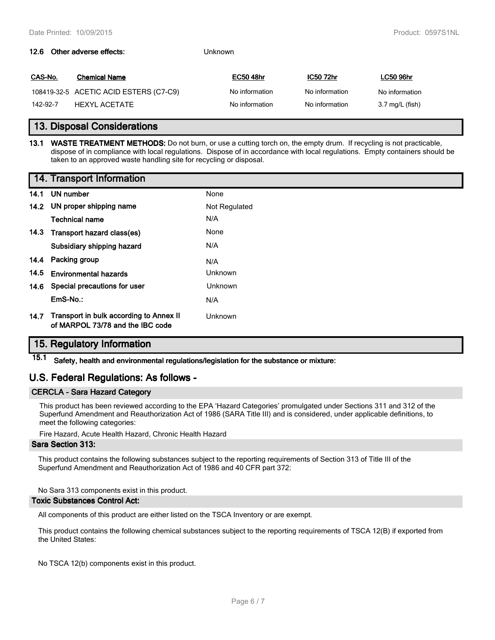#### **12.6 Other adverse effects:** Unknown

| CAS-No.  | <b>Chemical Name</b>                   | <b>EC50 48hr</b> | <b>IC50 72hr</b> | <b>LC50 96hr</b> |
|----------|----------------------------------------|------------------|------------------|------------------|
|          | 108419-32-5 ACETIC ACID ESTERS (C7-C9) | No information   | No information   | No information   |
| 142-92-7 | HEXYL ACETATE                          | No information   | No information   | 3.7 mg/L (fish)  |

# **13. Disposal Considerations**

**13.1 WASTE TREATMENT METHODS:** Do not burn, or use a cutting torch on, the empty drum. If recycling is not practicable, dispose of in compliance with local regulations. Dispose of in accordance with local regulations. Empty containers should be taken to an approved waste handling site for recycling or disposal.

|      | 14. Transport Information                                                        |                |
|------|----------------------------------------------------------------------------------|----------------|
| 14.1 | UN number                                                                        | None           |
|      | 14.2 UN proper shipping name                                                     | Not Regulated  |
|      | <b>Technical name</b>                                                            | N/A            |
|      | 14.3 Transport hazard class(es)                                                  | None           |
|      | Subsidiary shipping hazard                                                       | N/A            |
|      | 14.4 Packing group                                                               | N/A            |
| 14.5 | <b>Environmental hazards</b>                                                     | <b>Unknown</b> |
|      | 14.6 Special precautions for user                                                | <b>Unknown</b> |
|      | EmS-No.:                                                                         | N/A            |
|      | 14.7 Transport in bulk according to Annex II<br>of MARPOL 73/78 and the IBC code | Unknown        |

# **15. Regulatory Information**

**15.1 Safety, health and environmental regulations/legislation for the substance or mixture:**

# **U.S. Federal Regulations: As follows -**

#### **CERCLA - Sara Hazard Category**

This product has been reviewed according to the EPA 'Hazard Categories' promulgated under Sections 311 and 312 of the Superfund Amendment and Reauthorization Act of 1986 (SARA Title III) and is considered, under applicable definitions, to meet the following categories:

Fire Hazard, Acute Health Hazard, Chronic Health Hazard

#### **Sara Section 313:**

This product contains the following substances subject to the reporting requirements of Section 313 of Title III of the Superfund Amendment and Reauthorization Act of 1986 and 40 CFR part 372:

No Sara 313 components exist in this product.

#### **Toxic Substances Control Act:**

All components of this product are either listed on the TSCA Inventory or are exempt.

This product contains the following chemical substances subject to the reporting requirements of TSCA 12(B) if exported from the United States:

No TSCA 12(b) components exist in this product.